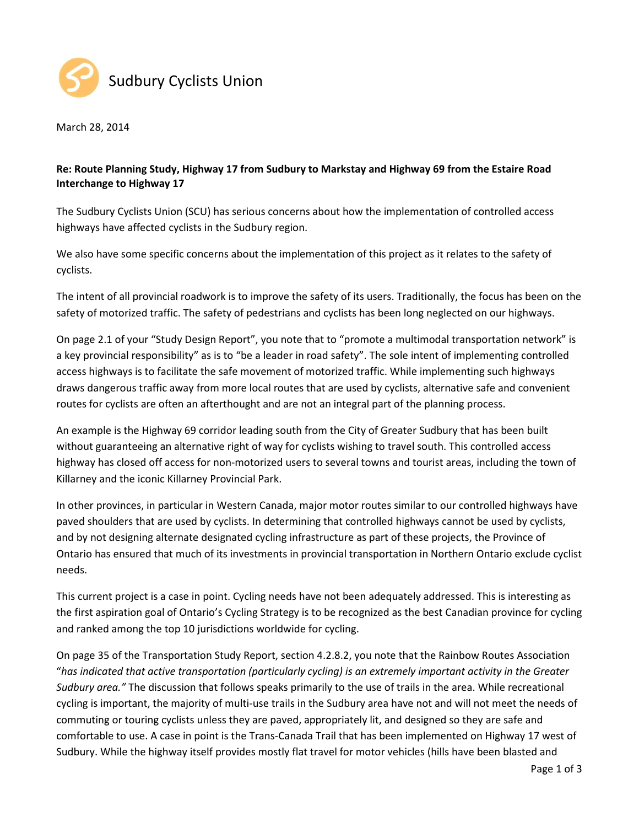

March 28, 2014

## Re: Route Planning Study, Highway 17 from Sudbury to Markstay and Highway 69 from the Estaire Road Interchange to Highway 17

The Sudbury Cyclists Union (SCU) has serious concerns about how the implementation of controlled access highways have affected cyclists in the Sudbury region.

We also have some specific concerns about the implementation of this project as it relates to the safety of cyclists.

The intent of all provincial roadwork is to improve the safety of its users. Traditionally, the focus has been on the safety of motorized traffic. The safety of pedestrians and cyclists has been long neglected on our highways.

On page 2.1 of your "Study Design Report", you note that to "promote a multimodal transportation network" is a key provincial responsibility" as is to "be a leader in road safety". The sole intent of implementing controlled access highways is to facilitate the safe movement of motorized traffic. While implementing such highways draws dangerous traffic away from more local routes that are used by cyclists, alternative safe and convenient routes for cyclists are often an afterthought and are not an integral part of the planning process.

An example is the Highway 69 corridor leading south from the City of Greater Sudbury that has been built without guaranteeing an alternative right of way for cyclists wishing to travel south. This controlled access highway has closed off access for non-motorized users to several towns and tourist areas, including the town of Killarney and the iconic Killarney Provincial Park.

In other provinces, in particular in Western Canada, major motor routes similar to our controlled highways have paved shoulders that are used by cyclists. In determining that controlled highways cannot be used by cyclists, and by not designing alternate designated cycling infrastructure as part of these projects, the Province of Ontario has ensured that much of its investments in provincial transportation in Northern Ontario exclude cyclist needs.

This current project is a case in point. Cycling needs have not been adequately addressed. This is interesting as the first aspiration goal of Ontario's Cycling Strategy is to be recognized as the best Canadian province for cycling and ranked among the top 10 jurisdictions worldwide for cycling.

On page 35 of the Transportation Study Report, section 4.2.8.2, you note that the Rainbow Routes Association "has indicated that active transportation (particularly cycling) is an extremely important activity in the Greater Sudbury area." The discussion that follows speaks primarily to the use of trails in the area. While recreational cycling is important, the majority of multi-use trails in the Sudbury area have not and will not meet the needs of commuting or touring cyclists unless they are paved, appropriately lit, and designed so they are safe and comfortable to use. A case in point is the Trans-Canada Trail that has been implemented on Highway 17 west of Sudbury. While the highway itself provides mostly flat travel for motor vehicles (hills have been blasted and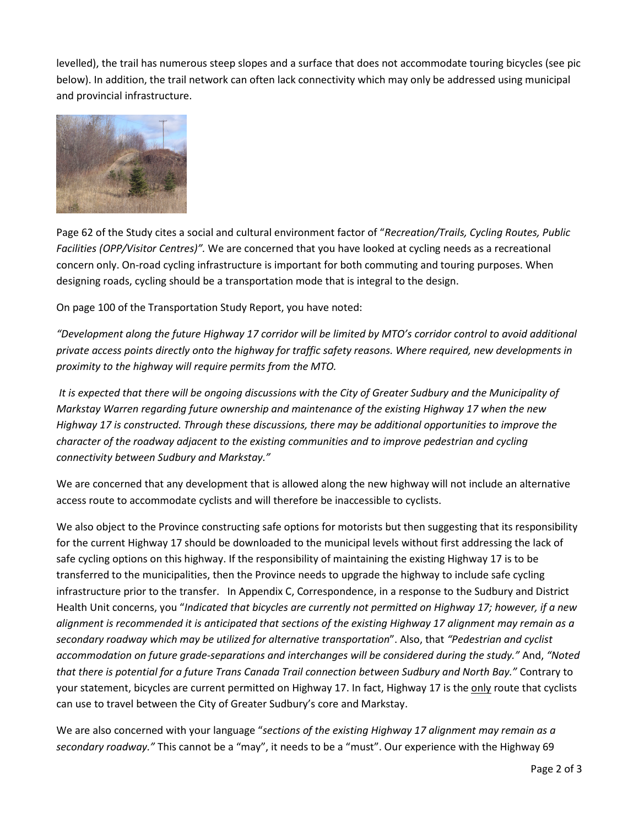levelled), the trail has numerous steep slopes and a surface that does not accommodate touring bicycles (see pic below). In addition, the trail network can often lack connectivity which may only be addressed using municipal and provincial infrastructure.



Page 62 of the Study cites a social and cultural environment factor of "Recreation/Trails, Cycling Routes, Public Facilities (OPP/Visitor Centres)". We are concerned that you have looked at cycling needs as a recreational concern only. On-road cycling infrastructure is important for both commuting and touring purposes. When designing roads, cycling should be a transportation mode that is integral to the design.

On page 100 of the Transportation Study Report, you have noted:

"Development along the future Highway 17 corridor will be limited by MTO's corridor control to avoid additional private access points directly onto the highway for traffic safety reasons. Where required, new developments in proximity to the highway will require permits from the MTO.

 It is expected that there will be ongoing discussions with the City of Greater Sudbury and the Municipality of Markstay Warren regarding future ownership and maintenance of the existing Highway 17 when the new Highway 17 is constructed. Through these discussions, there may be additional opportunities to improve the character of the roadway adjacent to the existing communities and to improve pedestrian and cycling connectivity between Sudbury and Markstay."

We are concerned that any development that is allowed along the new highway will not include an alternative access route to accommodate cyclists and will therefore be inaccessible to cyclists.

We also object to the Province constructing safe options for motorists but then suggesting that its responsibility for the current Highway 17 should be downloaded to the municipal levels without first addressing the lack of safe cycling options on this highway. If the responsibility of maintaining the existing Highway 17 is to be transferred to the municipalities, then the Province needs to upgrade the highway to include safe cycling infrastructure prior to the transfer. In Appendix C, Correspondence, in a response to the Sudbury and District Health Unit concerns, you "Indicated that bicycles are currently not permitted on Highway 17; however, if a new alignment is recommended it is anticipated that sections of the existing Highway 17 alignment may remain as a secondary roadway which may be utilized for alternative transportation". Also, that "Pedestrian and cyclist accommodation on future grade-separations and interchanges will be considered during the study." And, "Noted that there is potential for a future Trans Canada Trail connection between Sudbury and North Bay." Contrary to your statement, bicycles are current permitted on Highway 17. In fact, Highway 17 is the only route that cyclists can use to travel between the City of Greater Sudbury's core and Markstay.

We are also concerned with your language "sections of the existing Highway 17 alignment may remain as a secondary roadway." This cannot be a "may", it needs to be a "must". Our experience with the Highway 69